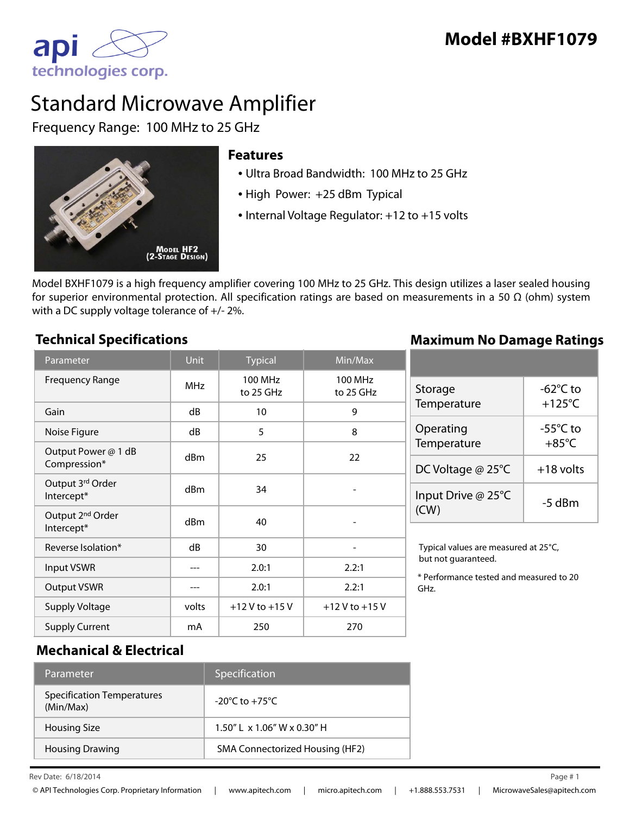

# Standard Microwave Amplifier

Frequency Range: 100 MHz to 25 GHz



## **Features**

- Ultra Broad Bandwidth: 100 MHz to 25 GHz
- High Power: +25 dBm Typical
- Internal Voltage Regulator: +12 to +15 volts

Model BXHF1079 is a high frequency amplifier covering 100 MHz to 25 GHz. This design utilizes a laser sealed housing for superior environmental protection. All specification ratings are based on measurements in a 50  $\Omega$  (ohm) system with a DC supply voltage tolerance of +/- 2%.

### Parameter **Nightian Contract Parameter** Dunit Typical Min/Max Frequency Range MHz 100 MHz to 25 GHz 100 MHz to 25 GHz Gain | dB | 10 | 9 Noise Figure and a R and B and B and B and B and B and B and B and B and B and B and B and B and B and B and B Output Power @ 1 dB  $\frac{1}{22}$  Compression\*  $\frac{1}{22}$  dBm  $\frac{25}{22}$ Output 3rd Order  $\left\lfloor \frac{\text{Unpoint of 34}}{\text{Intercept}^*} \right\rfloor$  dBm  $\left\lfloor \frac{\text{Unpoint of 34}}{\text{Unvector of 34}} \right\rfloor$ Output 2nd Order  $\frac{1}{2}$  order dBm  $\frac{1}{2}$  40 -Reverse Isolation\*  $dB$   $dB$  30 -Input VSWR --- 2.0:1 2.2:1 Output VSWR  $\begin{array}{|c|c|c|c|c|c|c|c|c|} \hline \text{0.011} & \text{0.011} & \text{0.021} \end{array}$ Supply Voltage  $volts$   $+12$  V to  $+15$  V  $+12$  V to  $+15$  V Supply Current 1 mA 250 270 GHz.

### **Technical Specifications Maximum No Damage Ratings**

| Storage<br>Temperature     | -62°C to<br>$+125^{\circ}$ C          |
|----------------------------|---------------------------------------|
| Operating<br>Temperature   | $-55^{\circ}$ C to<br>$+85^{\circ}$ C |
| DC Voltage @ 25°C          | $+18$ volts                           |
| Input Drive @ 25°C<br>(CW) | -5 dBm                                |

Typical values are measured at 25°C, but not guaranteed.

\* Performance tested and measured to 20

# **Mechanical & Electrical**

| 'Parameter                                     | Specification                      |
|------------------------------------------------|------------------------------------|
| <b>Specification Temperatures</b><br>(Min/Max) | $-20^{\circ}$ C to $+75^{\circ}$ C |
| <b>Housing Size</b>                            | $1.50''$   x $1.06''$ W x 0.30" H  |
| <b>Housing Drawing</b>                         | SMA Connectorized Housing (HF2)    |

Rev Date:  $6/18/2014$  Page #1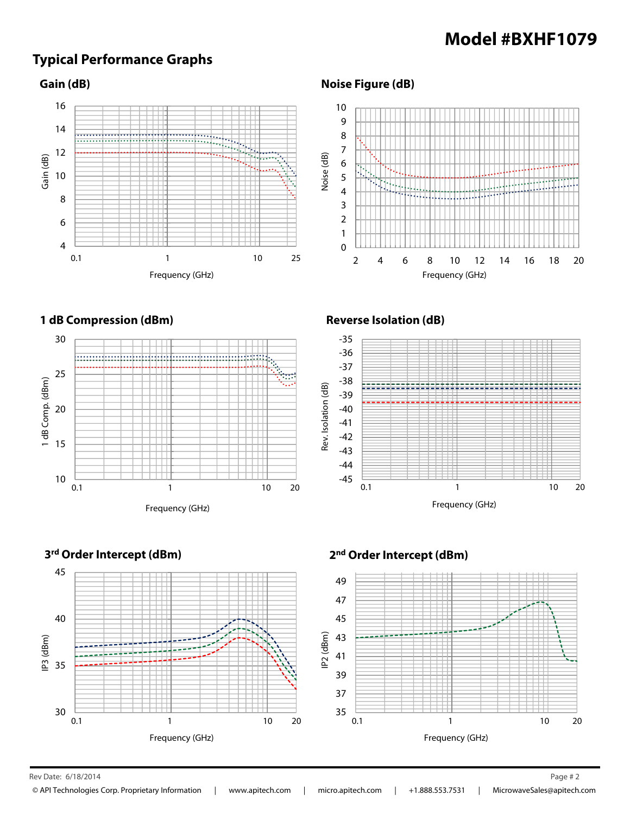# **Model #BXHF1079**

# **Typical Performance Graphs**

### **Gain (dB)**



#### Frequency (GHz) Noise (dB)  $\overline{0}$ 1 2 3 4 5 6 7 8 9 10 2 4 6 8 10 12 14 16 18 20



### **Reverse Isolation (dB)**

**Noise Figure (dB)**







#### $\mathsf{Rev}\,\mathsf{Date:}\;6/18/2014$  Page # 2

6/18/2014 2